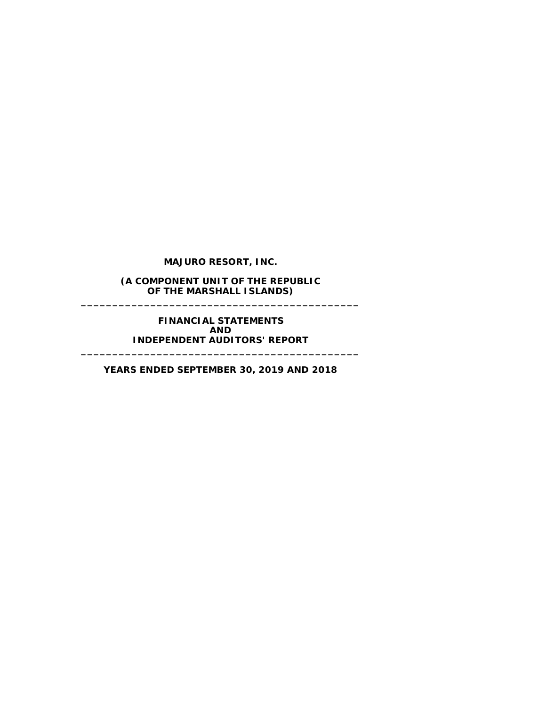**MAJURO RESORT, INC.**

**(A COMPONENT UNIT OF THE REPUBLIC OF THE MARSHALL ISLANDS) \_\_\_\_\_\_\_\_\_\_\_\_\_\_\_\_\_\_\_\_\_\_\_\_\_\_\_\_\_\_\_\_\_\_\_\_\_\_\_\_\_\_\_\_**

> **FINANCIAL STATEMENTS AND INDEPENDENT AUDITORS' REPORT**

**YEARS ENDED SEPTEMBER 30, 2019 AND 2018**

**\_\_\_\_\_\_\_\_\_\_\_\_\_\_\_\_\_\_\_\_\_\_\_\_\_\_\_\_\_\_\_\_\_\_\_\_\_\_\_\_\_\_\_\_**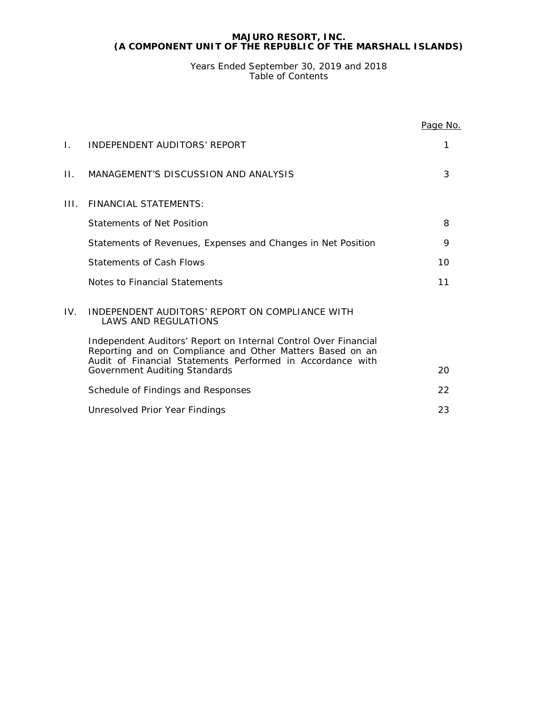Years Ended September 30, 2019 and 2018 Table of Contents

|      |                                                                                                                                                                                            | Page No. |
|------|--------------------------------------------------------------------------------------------------------------------------------------------------------------------------------------------|----------|
| Ι.   | INDEPENDENT AUDITORS' REPORT                                                                                                                                                               | 1        |
| Н.   | MANAGEMENT'S DISCUSSION AND ANALYSIS                                                                                                                                                       | 3        |
| III. | <b>FINANCIAL STATEMENTS:</b>                                                                                                                                                               |          |
|      | Statements of Net Position                                                                                                                                                                 | 8        |
|      | Statements of Revenues, Expenses and Changes in Net Position                                                                                                                               | 9        |
|      | <b>Statements of Cash Flows</b>                                                                                                                                                            | 10       |
|      | Notes to Financial Statements                                                                                                                                                              | 11       |
| IV.  | INDEPENDENT AUDITORS' REPORT ON COMPLIANCE WITH<br><b>LAWS AND REGULATIONS</b>                                                                                                             |          |
|      | Independent Auditors' Report on Internal Control Over Financial<br>Reporting and on Compliance and Other Matters Based on an<br>Audit of Financial Statements Performed in Accordance with |          |
|      | Government Auditing Standards                                                                                                                                                              | 20       |
|      | Schedule of Findings and Responses                                                                                                                                                         | 22       |
|      | Unresolved Prior Year Findings                                                                                                                                                             | 23       |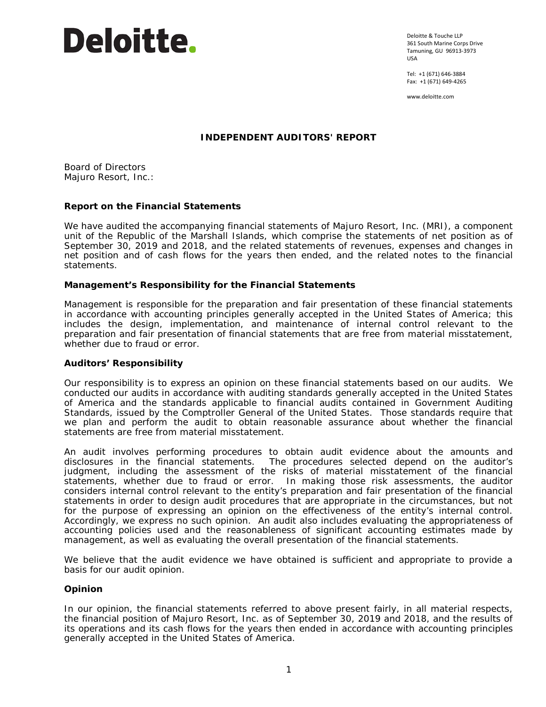

Deloitte & Touche LLP 361 South Marine Corps Drive Tamuning, GU 96913-3973 USA

Tel: +1 (671) 646-3884 Fax: +1 (671) 649-4265

www.deloitte.com

# **INDEPENDENT AUDITORS' REPORT**

Board of Directors Majuro Resort, Inc.:

# **Report on the Financial Statements**

We have audited the accompanying financial statements of Majuro Resort, Inc. (MRI), a component unit of the Republic of the Marshall Islands, which comprise the statements of net position as of September 30, 2019 and 2018, and the related statements of revenues, expenses and changes in net position and of cash flows for the years then ended, and the related notes to the financial statements.

# *Management's Responsibility for the Financial Statements*

Management is responsible for the preparation and fair presentation of these financial statements in accordance with accounting principles generally accepted in the United States of America; this includes the design, implementation, and maintenance of internal control relevant to the preparation and fair presentation of financial statements that are free from material misstatement, whether due to fraud or error.

# *Auditors' Responsibility*

Our responsibility is to express an opinion on these financial statements based on our audits. We conducted our audits in accordance with auditing standards generally accepted in the United States of America and the standards applicable to financial audits contained in *Government Auditing Standards*, issued by the Comptroller General of the United States. Those standards require that we plan and perform the audit to obtain reasonable assurance about whether the financial statements are free from material misstatement.

An audit involves performing procedures to obtain audit evidence about the amounts and disclosures in the financial statements. The procedures selected depend on the auditor's judgment, including the assessment of the risks of material misstatement of the financial statements, whether due to fraud or error. In making those risk assessments, the auditor considers internal control relevant to the entity's preparation and fair presentation of the financial statements in order to design audit procedures that are appropriate in the circumstances, but not for the purpose of expressing an opinion on the effectiveness of the entity's internal control. Accordingly, we express no such opinion. An audit also includes evaluating the appropriateness of accounting policies used and the reasonableness of significant accounting estimates made by management, as well as evaluating the overall presentation of the financial statements.

We believe that the audit evidence we have obtained is sufficient and appropriate to provide a basis for our audit opinion.

# *Opinion*

In our opinion, the financial statements referred to above present fairly, in all material respects, the financial position of Majuro Resort, Inc. as of September 30, 2019 and 2018, and the results of its operations and its cash flows for the years then ended in accordance with accounting principles generally accepted in the United States of America.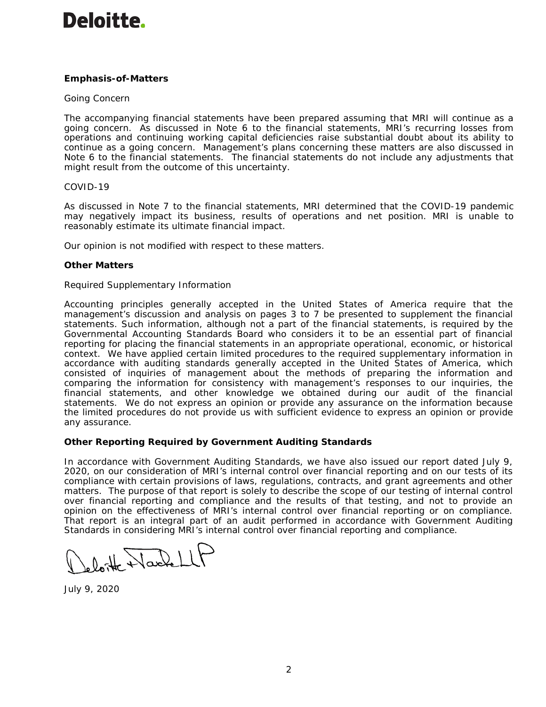# Deloitte.

# *Emphasis-of-Matters*

# *Going Concern*

The accompanying financial statements have been prepared assuming that MRI will continue as a going concern. As discussed in Note 6 to the financial statements, MRI's recurring losses from operations and continuing working capital deficiencies raise substantial doubt about its ability to continue as a going concern. Management's plans concerning these matters are also discussed in Note 6 to the financial statements. The financial statements do not include any adjustments that might result from the outcome of this uncertainty.

# *COVID-19*

As discussed in Note 7 to the financial statements, MRI determined that the COVID-19 pandemic may negatively impact its business, results of operations and net position. MRI is unable to reasonably estimate its ultimate financial impact.

Our opinion is not modified with respect to these matters.

# *Other Matters*

# *Required Supplementary Information*

Accounting principles generally accepted in the United States of America require that the management's discussion and analysis on pages 3 to 7 be presented to supplement the financial statements. Such information, although not a part of the financial statements, is required by the Governmental Accounting Standards Board who considers it to be an essential part of financial reporting for placing the financial statements in an appropriate operational, economic, or historical context. We have applied certain limited procedures to the required supplementary information in accordance with auditing standards generally accepted in the United States of America, which consisted of inquiries of management about the methods of preparing the information and comparing the information for consistency with management's responses to our inquiries, the financial statements, and other knowledge we obtained during our audit of the financial statements. We do not express an opinion or provide any assurance on the information because the limited procedures do not provide us with sufficient evidence to express an opinion or provide any assurance.

# **Other Reporting Required by** *Government Auditing Standards*

In accordance with *Government Auditing Standards*, we have also issued our report dated July 9, 2020, on our consideration of MRI's internal control over financial reporting and on our tests of its compliance with certain provisions of laws, regulations, contracts, and grant agreements and other matters. The purpose of that report is solely to describe the scope of our testing of internal control over financial reporting and compliance and the results of that testing, and not to provide an opinion on the effectiveness of MRI's internal control over financial reporting or on compliance. That report is an integral part of an audit performed in accordance with *Government Auditing Standards* in considering MRI's internal control over financial reporting and compliance.

loite Wackell

July 9, 2020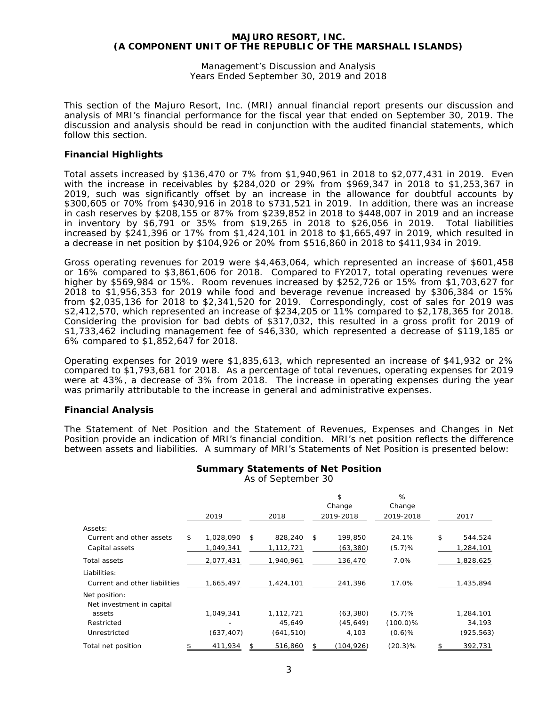Management's Discussion and Analysis Years Ended September 30, 2019 and 2018

This section of the Majuro Resort, Inc. (MRI) annual financial report presents our discussion and analysis of MRI's financial performance for the fiscal year that ended on September 30, 2019. The discussion and analysis should be read in conjunction with the audited financial statements, which follow this section.

# **Financial Highlights**

Total assets increased by \$136,470 or 7% from \$1,940,961 in 2018 to \$2,077,431 in 2019. Even with the increase in receivables by \$284,020 or 29% from \$969,347 in 2018 to \$1,253,367 in 2019, such was significantly offset by an increase in the allowance for doubtful accounts by \$300,605 or 70% from \$430,916 in 2018 to \$731,521 in 2019. In addition, there was an increase in cash reserves by \$208,155 or 87% from \$239,852 in 2018 to \$448,007 in 2019 and an increase in inventory by \$6,791 or 35% from \$19,265 in 2018 to \$26,056 in 2019. Total liabilities increased by \$241,396 or 17% from \$1,424,101 in 2018 to \$1,665,497 in 2019, which resulted in a decrease in net position by \$104,926 or 20% from \$516,860 in 2018 to \$411,934 in 2019.

Gross operating revenues for 2019 were \$4,463,064, which represented an increase of \$601,458 or 16% compared to \$3,861,606 for 2018. Compared to FY2017, total operating revenues were higher by \$569,984 or 15%. Room revenues increased by \$252,726 or 15% from \$1,703,627 for 2018 to \$1,956,353 for 2019 while food and beverage revenue increased by \$306,384 or 15% from \$2,035,136 for 2018 to \$2,341,520 for 2019. Correspondingly, cost of sales for 2019 was \$2,412,570, which represented an increase of \$234,205 or 11% compared to \$2,178,365 for 2018. Considering the provision for bad debts of \$317,032, this resulted in a gross profit for 2019 of \$1,733,462 including management fee of \$46,330, which represented a decrease of \$119,185 or 6% compared to \$1,852,647 for 2018.

Operating expenses for 2019 were \$1,835,613, which represented an increase of \$41,932 or 2% compared to \$1,793,681 for 2018. As a percentage of total revenues, operating expenses for 2019 were at 43%, a decrease of 3% from 2018. The increase in operating expenses during the year was primarily attributable to the increase in general and administrative expenses.

# **Financial Analysis**

The Statement of Net Position and the Statement of Revenues, Expenses and Changes in Net Position provide an indication of MRI's financial condition. MRI's net position reflects the difference between assets and liabilities. A summary of MRI's Statements of Net Position is presented below:

|                               | 2019            | 2018          | \$<br>Change<br>2019-2018 | %<br>Change<br>2019-2018 | 2017          |
|-------------------------------|-----------------|---------------|---------------------------|--------------------------|---------------|
| Assets:                       |                 |               |                           |                          |               |
| Current and other assets      | \$<br>1,028,090 | \$<br>828,240 | \$<br>199.850             | 24.1%                    | \$<br>544,524 |
| Capital assets                | 1.049.341       | 1,112,721     | (63, 380)                 | (5.7)%                   | 1,284,101     |
| Total assets                  | 2,077,431       | 1,940,961     | 136,470                   | 7.0%                     | 1,828,625     |
| Liabilities:                  |                 |               |                           |                          |               |
| Current and other liabilities | 1,665,497       | 1,424,101     | 241,396                   | 17.0%                    | 1,435,894     |
| Net position:                 |                 |               |                           |                          |               |
| Net investment in capital     |                 |               |                           |                          |               |
| assets                        | 1,049,341       | 1,112,721     | (63, 380)                 | (5.7)%                   | 1,284,101     |
| Restricted                    |                 | 45,649        | (45, 649)                 | $(100.0)\%$              | 34,193        |
| Unrestricted                  | (637, 407)      | (641, 510)    | 4,103                     | $(0.6)$ %                | (925, 563)    |
| Total net position            | \$<br>411,934   | \$<br>516,860 | \$<br>(104, 926)          | $(20.3)\%$               | \$<br>392,731 |

**Summary Statements of Net Position**

As of September 30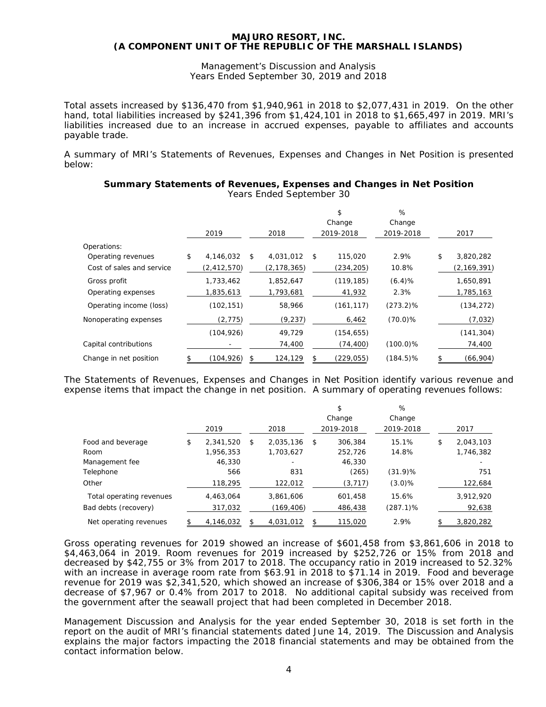Management's Discussion and Analysis Years Ended September 30, 2019 and 2018

Total assets increased by \$136,470 from \$1,940,961 in 2018 to \$2,077,431 in 2019. On the other hand, total liabilities increased by \$241,396 from \$1,424,101 in 2018 to \$1,665,497 in 2019. MRI's liabilities increased due to an increase in accrued expenses, payable to affiliates and accounts payable trade.

A summary of MRI's Statements of Revenues, Expenses and Changes in Net Position is presented below:

|                           | 2019             | 2018            |              | \$<br>Change<br>2019-2018 | %<br>Change<br>2019-2018 | 2017            |
|---------------------------|------------------|-----------------|--------------|---------------------------|--------------------------|-----------------|
| Operations:               |                  |                 |              |                           |                          |                 |
| Operating revenues        | \$<br>4,146,032  | \$<br>4,031,012 | $\mathsf{s}$ | 115,020                   | 2.9%                     | \$<br>3,820,282 |
| Cost of sales and service | (2, 412, 570)    | (2, 178, 365)   |              | (234, 205)                | 10.8%                    | (2,169,391)     |
| Gross profit              | 1,733,462        | 1,852,647       |              | (119, 185)                | (6.4)%                   | 1,650,891       |
| Operating expenses        | 1,835,613        | 1,793,681       |              | 41,932                    | 2.3%                     | 1,785,163       |
| Operating income (loss)   | (102, 151)       | 58,966          |              | (161, 117)                | $(273.2)\%$              | (134, 272)      |
| Nonoperating expenses     | (2, 775)         | (9, 237)        |              | 6,462                     | $(70.0)\%$               | (7,032)         |
|                           | (104, 926)       | 49,729          |              | (154, 655)                |                          | (141, 304)      |
| Capital contributions     |                  | 74,400          |              | (74, 400)                 | $(100.0)\%$              | 74,400          |
| Change in net position    | \$<br>(104, 926) | \$<br>124,129   | \$           | (229,055)                 | $(184.5)\%$              | \$<br>(66,904)  |

#### **Summary Statements of Revenues, Expenses and Changes in Net Position** Years Ended September 30

The Statements of Revenues, Expenses and Changes in Net Position identify various revenue and expense items that impact the change in net position. A summary of operating revenues follows:

|                          | 2019            | 2018            | \$<br>Change<br>2019-2018 | %<br>Change<br>2019-2018 | 2017            |
|--------------------------|-----------------|-----------------|---------------------------|--------------------------|-----------------|
| Food and beverage        | \$<br>2.341.520 | \$<br>2,035,136 | \$<br>306,384             | 15.1%                    | \$<br>2,043,103 |
| Room                     | 1,956,353       | 1,703,627       | 252,726                   | 14.8%                    | 1,746,382       |
| Management fee           | 46,330          | -               | 46,330                    |                          |                 |
| Telephone                | 566             | 831             | (265)                     | $(31.9)\%$               | 751             |
| Other                    | 118,295         | 122,012         | (3, 717)                  | $(3.0)\%$                | 122,684         |
| Total operating revenues | 4.463.064       | 3,861,606       | 601,458                   | 15.6%                    | 3,912,920       |
| Bad debts (recovery)     | 317,032         | (169, 406)      | 486,438                   | $(287.1)\%$              | 92,638          |
| Net operating revenues   | 4,146,032       | 4,031,012       | \$<br>115,020             | 2.9%                     | 3,820,282       |

Gross operating revenues for 2019 showed an increase of \$601,458 from \$3,861,606 in 2018 to \$4,463,064 in 2019. Room revenues for 2019 increased by \$252,726 or 15% from 2018 and decreased by \$42,755 or 3% from 2017 to 2018. The occupancy ratio in 2019 increased to 52.32% with an increase in average room rate from \$63.91 in 2018 to \$71.14 in 2019. Food and beverage revenue for 2019 was \$2,341,520, which showed an increase of \$306,384 or 15% over 2018 and a decrease of \$7,967 or 0.4% from 2017 to 2018. No additional capital subsidy was received from the government after the seawall project that had been completed in December 2018.

Management Discussion and Analysis for the year ended September 30, 2018 is set forth in the report on the audit of MRI's financial statements dated June 14, 2019. The Discussion and Analysis explains the major factors impacting the 2018 financial statements and may be obtained from the contact information below.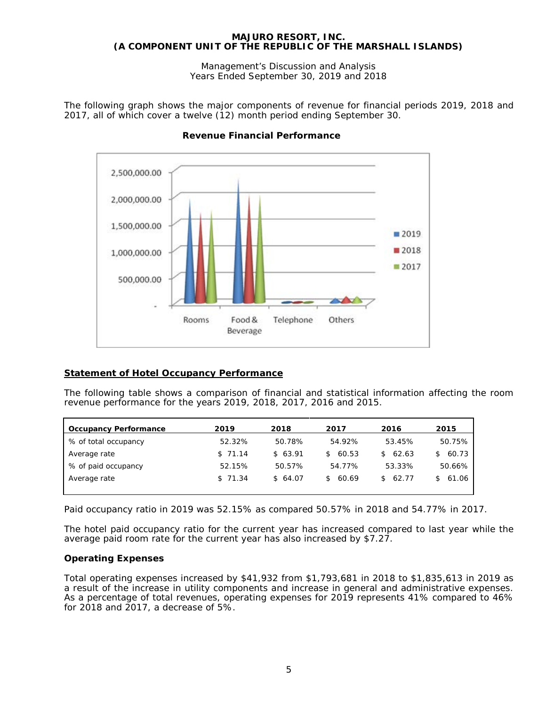Management's Discussion and Analysis Years Ended September 30, 2019 and 2018

The following graph shows the major components of revenue for financial periods 2019, 2018 and 2017, all of which cover a twelve (12) month period ending September 30.



# **Revenue Financial Performance**

# **Statement of Hotel Occupancy Performance**

The following table shows a comparison of financial and statistical information affecting the room revenue performance for the years 2019, 2018, 2017, 2016 and 2015.

| <b>Occupancy Performance</b> | 2019    | 2018    | 2017         | 2016                   | 2015        |
|------------------------------|---------|---------|--------------|------------------------|-------------|
| % of total occupancy         | 52.32%  | 50.78%  | 54.92%       | 53.45%                 | 50.75%      |
| Average rate                 | \$71.14 | \$63.91 | 60.53<br>S.  | 62.63<br>$\mathcal{S}$ | 60.73<br>S. |
| % of paid occupancy          | 52.15%  | 50.57%  | 54.77%       | 53.33%                 | 50.66%      |
| Average rate                 | \$71.34 | \$64.07 | 60.69<br>SS. | 62.77<br>S.            | 61.06       |
|                              |         |         |              |                        |             |

Paid occupancy ratio in 2019 was 52.15% as compared 50.57% in 2018 and 54.77% in 2017.

The hotel paid occupancy ratio for the current year has increased compared to last year while the average paid room rate for the current year has also increased by \$7.27.

# **Operating Expenses**

Total operating expenses increased by \$41,932 from \$1,793,681 in 2018 to \$1,835,613 in 2019 as a result of the increase in utility components and increase in general and administrative expenses. As a percentage of total revenues, operating expenses for 2019 represents 41% compared to 46% for 2018 and 2017, a decrease of 5%.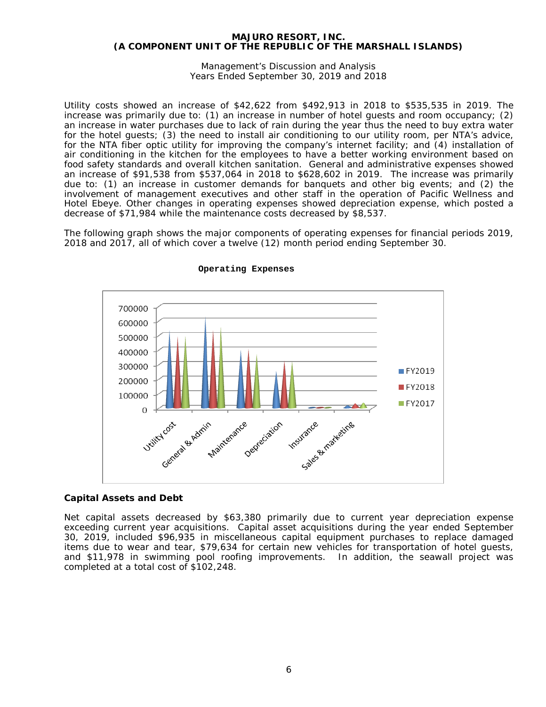Management's Discussion and Analysis Years Ended September 30, 2019 and 2018

Utility costs showed an increase of \$42,622 from \$492,913 in 2018 to \$535,535 in 2019. The increase was primarily due to: (1) an increase in number of hotel guests and room occupancy; (2) an increase in water purchases due to lack of rain during the year thus the need to buy extra water for the hotel guests; (3) the need to install air conditioning to our utility room, per NTA's advice, for the NTA fiber optic utility for improving the company's internet facility; and (4) installation of air conditioning in the kitchen for the employees to have a better working environment based on food safety standards and overall kitchen sanitation. General and administrative expenses showed an increase of \$91,538 from \$537,064 in 2018 to \$628,602 in 2019. The increase was primarily due to: (1) an increase in customer demands for banquets and other big events; and (2) the involvement of management executives and other staff in the operation of Pacific Wellness and Hotel Ebeye. Other changes in operating expenses showed depreciation expense, which posted a decrease of \$71,984 while the maintenance costs decreased by \$8,537.

The following graph shows the major components of operating expenses for financial periods 2019, 2018 and 2017, all of which cover a twelve (12) month period ending September 30.



#### **Operating Expenses**

# **Capital Assets and Debt**

Net capital assets decreased by \$63,380 primarily due to current year depreciation expense exceeding current year acquisitions. Capital asset acquisitions during the year ended September 30, 2019, included \$96,935 in miscellaneous capital equipment purchases to replace damaged items due to wear and tear, \$79,634 for certain new vehicles for transportation of hotel guests, and \$11,978 in swimming pool roofing improvements. In addition, the seawall project was completed at a total cost of \$102,248.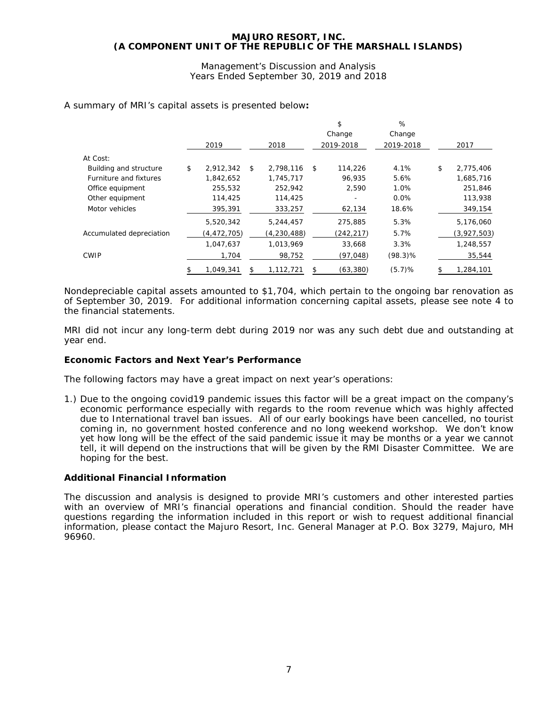Management's Discussion and Analysis Years Ended September 30, 2019 and 2018

|                          |                 |    |               |    | \$         | %          |                 |
|--------------------------|-----------------|----|---------------|----|------------|------------|-----------------|
|                          |                 |    |               |    | Change     | Change     |                 |
|                          | 2019            |    | 2018          |    | 2019-2018  | 2019-2018  | 2017            |
| At Cost:                 |                 |    |               |    |            |            |                 |
| Building and structure   | \$<br>2,912,342 | \$ | 2,798,116     | \$ | 114,226    | 4.1%       | \$<br>2,775,406 |
| Furniture and fixtures   | 1,842,652       |    | 1,745,717     |    | 96,935     | 5.6%       | 1,685,716       |
| Office equipment         | 255,532         |    | 252,942       |    | 2,590      | 1.0%       | 251,846         |
| Other equipment          | 114,425         |    | 114,425       |    |            | 0.0%       | 113,938         |
| Motor vehicles           | 395,391         |    | 333,257       |    | 62,134     | 18.6%      | 349,154         |
|                          | 5,520,342       |    | 5,244,457     |    | 275,885    | 5.3%       | 5,176,060       |
| Accumulated depreciation | (4,472,705)     |    | (4, 230, 488) |    | (242, 217) | 5.7%       | (3,927,503)     |
|                          | 1,047,637       |    | 1,013,969     |    | 33,668     | 3.3%       | 1,248,557       |
| <b>CWIP</b>              | 1,704           |    | 98,752        |    | (97,048)   | $(98.3)\%$ | 35,544          |
|                          | 1,049,341       | S  | 1,112,721     | S  | (63, 380)  | (5.7)%     | 1,284,101       |

A summary of MRI's capital assets is presented below**:**

Nondepreciable capital assets amounted to \$1,704, which pertain to the ongoing bar renovation as of September 30, 2019. For additional information concerning capital assets, please see note 4 to the financial statements.

MRI did not incur any long-term debt during 2019 nor was any such debt due and outstanding at year end.

# **Economic Factors and Next Year's Performance**

The following factors may have a great impact on next year's operations:

1.) Due to the ongoing covid19 pandemic issues this factor will be a great impact on the company's economic performance especially with regards to the room revenue which was highly affected due to International travel ban issues. All of our early bookings have been cancelled, no tourist coming in, no government hosted conference and no long weekend workshop. We don't know yet how long will be the effect of the said pandemic issue it may be months or a year we cannot tell, it will depend on the instructions that will be given by the RMI Disaster Committee. We are hoping for the best.

# **Additional Financial Information**

The discussion and analysis is designed to provide MRI's customers and other interested parties with an overview of MRI's financial operations and financial condition. Should the reader have questions regarding the information included in this report or wish to request additional financial information, please contact the Majuro Resort, Inc. General Manager at P.O. Box 3279, Majuro, MH 96960.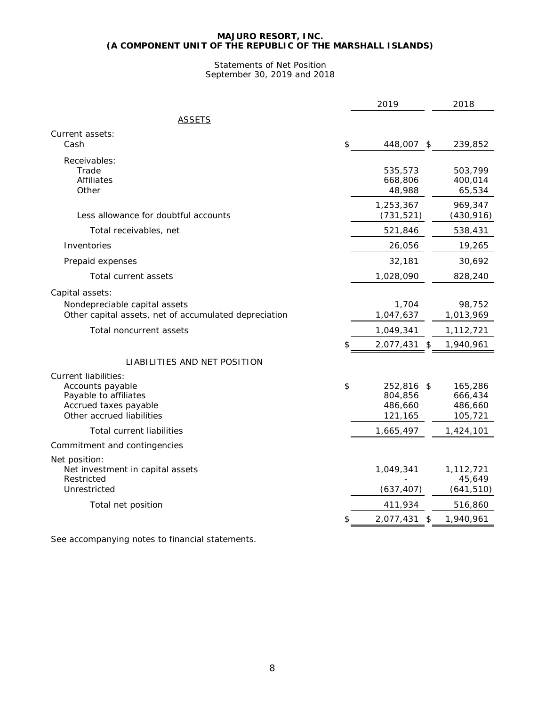# Statements of Net Position September 30, 2019 and 2018

| <b>ASSETS</b><br>Current assets:<br>Cash<br>\$<br>448,007 \$<br>Receivables:<br>Trade<br>535,573<br><b>Affiliates</b><br>668,806<br>Other<br>48,988<br>1,253,367<br>Less allowance for doubtful accounts<br>(731, 521)<br>Total receivables, net<br>521,846<br>Inventories<br>26,056<br>32,181<br>Prepaid expenses<br>1,028,090<br>Total current assets<br>Capital assets:<br>1,704<br>Nondepreciable capital assets<br>Other capital assets, net of accumulated depreciation<br>1,047,637<br>Total noncurrent assets<br>1,049,341<br>2,077,431 \$<br>\$.<br><b>LIABILITIES AND NET POSITION</b><br>Current liabilities:<br>\$<br>Accounts payable<br>252,816 \$<br>Payable to affiliates<br>804,856<br>Accrued taxes payable<br>486,660<br>Other accrued liabilities<br>121,165<br><b>Total current liabilities</b><br>1,665,497<br>Commitment and contingencies<br>Net position:<br>1,049,341<br>Net investment in capital assets<br>Restricted<br>Unrestricted<br>(637, 407)<br>411,934<br>Total net position<br>1,940,961<br>2,077,431<br>\$ |  | 2019 | 2018                                                  |
|--------------------------------------------------------------------------------------------------------------------------------------------------------------------------------------------------------------------------------------------------------------------------------------------------------------------------------------------------------------------------------------------------------------------------------------------------------------------------------------------------------------------------------------------------------------------------------------------------------------------------------------------------------------------------------------------------------------------------------------------------------------------------------------------------------------------------------------------------------------------------------------------------------------------------------------------------------------------------------------------------------------------------------------------------|--|------|-------------------------------------------------------|
|                                                                                                                                                                                                                                                                                                                                                                                                                                                                                                                                                                                                                                                                                                                                                                                                                                                                                                                                                                                                                                                  |  |      |                                                       |
|                                                                                                                                                                                                                                                                                                                                                                                                                                                                                                                                                                                                                                                                                                                                                                                                                                                                                                                                                                                                                                                  |  |      |                                                       |
|                                                                                                                                                                                                                                                                                                                                                                                                                                                                                                                                                                                                                                                                                                                                                                                                                                                                                                                                                                                                                                                  |  |      | 239,852                                               |
|                                                                                                                                                                                                                                                                                                                                                                                                                                                                                                                                                                                                                                                                                                                                                                                                                                                                                                                                                                                                                                                  |  |      | 503,799<br>400,014<br>65,534                          |
|                                                                                                                                                                                                                                                                                                                                                                                                                                                                                                                                                                                                                                                                                                                                                                                                                                                                                                                                                                                                                                                  |  |      | 969,347<br>(430, 916)                                 |
|                                                                                                                                                                                                                                                                                                                                                                                                                                                                                                                                                                                                                                                                                                                                                                                                                                                                                                                                                                                                                                                  |  |      | 538,431                                               |
|                                                                                                                                                                                                                                                                                                                                                                                                                                                                                                                                                                                                                                                                                                                                                                                                                                                                                                                                                                                                                                                  |  |      | 19,265                                                |
|                                                                                                                                                                                                                                                                                                                                                                                                                                                                                                                                                                                                                                                                                                                                                                                                                                                                                                                                                                                                                                                  |  |      | 30,692                                                |
|                                                                                                                                                                                                                                                                                                                                                                                                                                                                                                                                                                                                                                                                                                                                                                                                                                                                                                                                                                                                                                                  |  |      | 828,240                                               |
|                                                                                                                                                                                                                                                                                                                                                                                                                                                                                                                                                                                                                                                                                                                                                                                                                                                                                                                                                                                                                                                  |  |      | 98,752<br>1,013,969<br>1,112,721<br>1,940,961         |
|                                                                                                                                                                                                                                                                                                                                                                                                                                                                                                                                                                                                                                                                                                                                                                                                                                                                                                                                                                                                                                                  |  |      | 165,286<br>666,434<br>486,660<br>105,721<br>1,424,101 |
|                                                                                                                                                                                                                                                                                                                                                                                                                                                                                                                                                                                                                                                                                                                                                                                                                                                                                                                                                                                                                                                  |  |      |                                                       |
|                                                                                                                                                                                                                                                                                                                                                                                                                                                                                                                                                                                                                                                                                                                                                                                                                                                                                                                                                                                                                                                  |  |      | 1,112,721<br>45,649<br>(641, 510)                     |
|                                                                                                                                                                                                                                                                                                                                                                                                                                                                                                                                                                                                                                                                                                                                                                                                                                                                                                                                                                                                                                                  |  |      | 516,860                                               |
|                                                                                                                                                                                                                                                                                                                                                                                                                                                                                                                                                                                                                                                                                                                                                                                                                                                                                                                                                                                                                                                  |  |      |                                                       |

See accompanying notes to financial statements.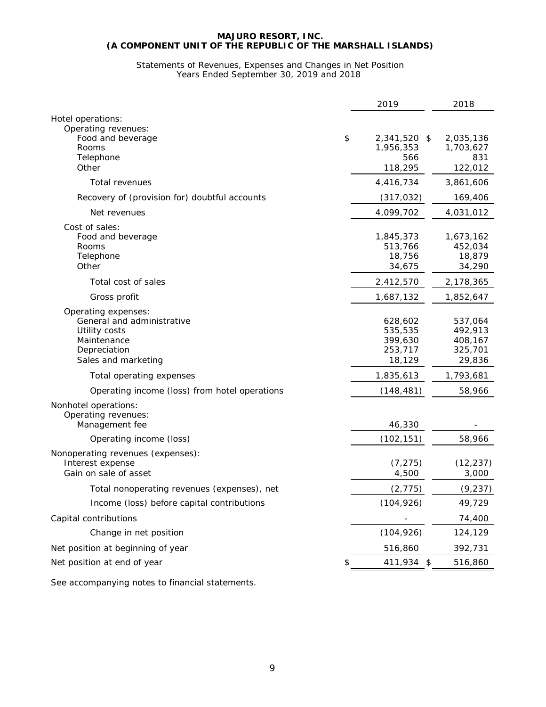#### Statements of Revenues, Expenses and Changes in Net Position Years Ended September 30, 2019 and 2018

|                                                                                                                          | 2019                                               | 2018                                               |
|--------------------------------------------------------------------------------------------------------------------------|----------------------------------------------------|----------------------------------------------------|
| Hotel operations:                                                                                                        |                                                    |                                                    |
| Operating revenues:<br>\$<br>Food and beverage<br>Rooms<br>Telephone<br>Other                                            | 2,341,520 \$<br>1,956,353<br>566<br>118,295        | 2,035,136<br>1,703,627<br>831<br>122,012           |
| Total revenues                                                                                                           | 4,416,734                                          | 3,861,606                                          |
| Recovery of (provision for) doubtful accounts                                                                            | (317, 032)                                         | 169,406                                            |
| Net revenues                                                                                                             | 4,099,702                                          | 4,031,012                                          |
| Cost of sales:<br>Food and beverage<br>Rooms<br>Telephone<br>Other                                                       | 1,845,373<br>513,766<br>18,756<br>34,675           | 1,673,162<br>452,034<br>18,879<br>34,290           |
| Total cost of sales                                                                                                      | 2,412,570                                          | 2,178,365                                          |
| Gross profit                                                                                                             | 1,687,132                                          | 1,852,647                                          |
| Operating expenses:<br>General and administrative<br>Utility costs<br>Maintenance<br>Depreciation<br>Sales and marketing | 628,602<br>535,535<br>399,630<br>253,717<br>18,129 | 537,064<br>492,913<br>408,167<br>325,701<br>29,836 |
| Total operating expenses                                                                                                 | 1,835,613                                          | 1,793,681                                          |
| Operating income (loss) from hotel operations                                                                            | (148, 481)                                         | 58,966                                             |
| Nonhotel operations:<br>Operating revenues:<br>Management fee                                                            | 46,330                                             |                                                    |
| Operating income (loss)                                                                                                  | (102, 151)                                         | 58,966                                             |
| Nonoperating revenues (expenses):<br>Interest expense<br>Gain on sale of asset                                           | (7, 275)<br>4,500                                  | (12, 237)<br>3,000                                 |
| Total nonoperating revenues (expenses), net                                                                              | (2, 775)                                           | (9, 237)                                           |
| Income (loss) before capital contributions                                                                               | (104, 926)                                         | 49,729                                             |
| Capital contributions                                                                                                    |                                                    | 74,400                                             |
| Change in net position                                                                                                   | (104, 926)                                         | 124,129                                            |
| Net position at beginning of year                                                                                        | 516,860                                            | 392,731                                            |
| Net position at end of year                                                                                              | 411,934<br>\$                                      | 516,860                                            |

See accompanying notes to financial statements.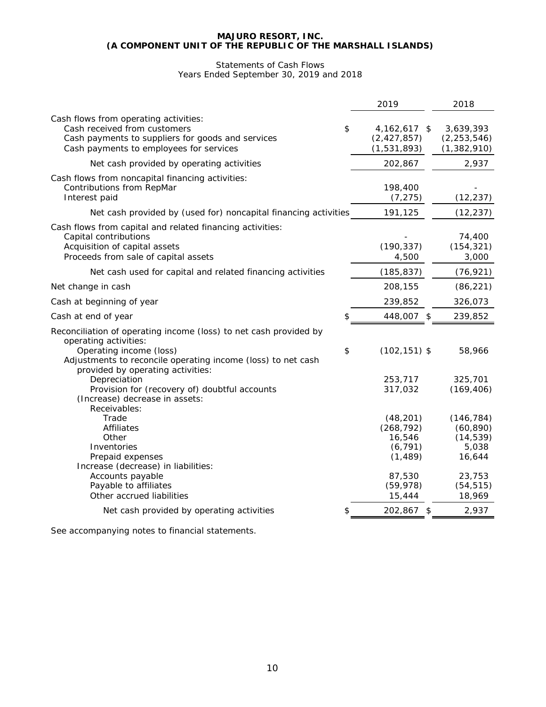# Statements of Cash Flows Years Ended September 30, 2019 and 2018

|                                                                                                                                                                                                                            | 2019                                                                                       | 2018                                                                                     |
|----------------------------------------------------------------------------------------------------------------------------------------------------------------------------------------------------------------------------|--------------------------------------------------------------------------------------------|------------------------------------------------------------------------------------------|
| Cash flows from operating activities:<br>Cash received from customers<br>Cash payments to suppliers for goods and services<br>Cash payments to employees for services                                                      | \$<br>4, 162, 617 \$<br>(2, 427, 857)<br>(1,531,893)                                       | 3,639,393<br>(2, 253, 546)<br>(1, 382, 910)                                              |
| Net cash provided by operating activities                                                                                                                                                                                  | 202,867                                                                                    | 2,937                                                                                    |
| Cash flows from noncapital financing activities:<br>Contributions from RepMar<br>Interest paid                                                                                                                             | 198,400<br>(7, 275)                                                                        | (12, 237)                                                                                |
| Net cash provided by (used for) noncapital financing activities                                                                                                                                                            | 191,125                                                                                    | (12, 237)                                                                                |
| Cash flows from capital and related financing activities:<br>Capital contributions<br>Acquisition of capital assets<br>Proceeds from sale of capital assets                                                                | (190, 337)<br>4,500                                                                        | 74,400<br>(154, 321)<br>3,000                                                            |
| Net cash used for capital and related financing activities                                                                                                                                                                 | (185, 837)                                                                                 | (76, 921)                                                                                |
| Net change in cash                                                                                                                                                                                                         | 208,155                                                                                    | (86, 221)                                                                                |
| Cash at beginning of year                                                                                                                                                                                                  | 239,852                                                                                    | 326,073                                                                                  |
| Cash at end of year                                                                                                                                                                                                        | 448,007 \$                                                                                 | 239,852                                                                                  |
| Reconciliation of operating income (loss) to net cash provided by<br>operating activities:<br>Operating income (loss)<br>Adjustments to reconcile operating income (loss) to net cash<br>provided by operating activities: | \$<br>$(102, 151)$ \$                                                                      | 58,966                                                                                   |
| Depreciation<br>Provision for (recovery of) doubtful accounts<br>(Increase) decrease in assets:                                                                                                                            | 253,717<br>317,032                                                                         | 325,701<br>(169, 406)                                                                    |
| Receivables:<br>Trade<br>Affiliates<br>Other<br>Inventories<br>Prepaid expenses<br>Increase (decrease) in liabilities:<br>Accounts payable<br>Payable to affiliates<br>Other accrued liabilities                           | (48, 201)<br>(268, 792)<br>16,546<br>(6, 791)<br>(1, 489)<br>87,530<br>(59, 978)<br>15,444 | (146, 784)<br>(60, 890)<br>(14, 539)<br>5,038<br>16,644<br>23,753<br>(54, 515)<br>18,969 |
| Net cash provided by operating activities                                                                                                                                                                                  | 202,867 \$                                                                                 | 2,937                                                                                    |
|                                                                                                                                                                                                                            |                                                                                            |                                                                                          |

See accompanying notes to financial statements.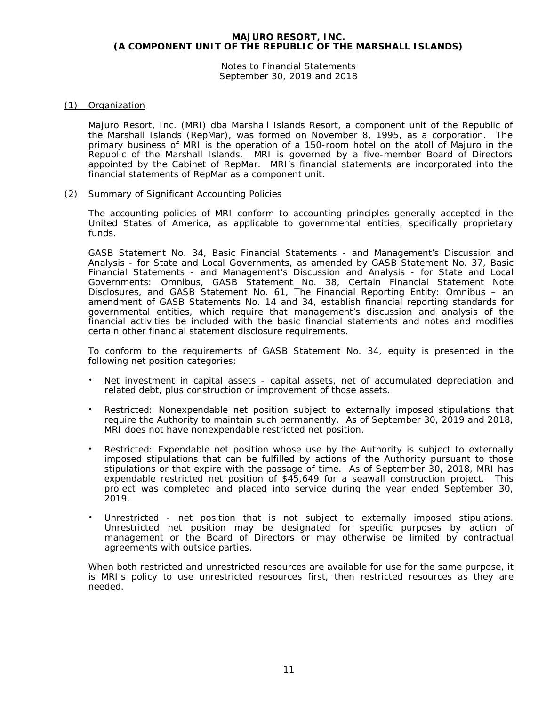Notes to Financial Statements September 30, 2019 and 2018

# (1) Organization

Majuro Resort, Inc. (MRI) dba Marshall Islands Resort, a component unit of the Republic of the Marshall Islands (RepMar), was formed on November 8, 1995, as a corporation. The primary business of MRI is the operation of a 150-room hotel on the atoll of Majuro in the Republic of the Marshall Islands. MRI is governed by a five-member Board of Directors appointed by the Cabinet of RepMar. MRI's financial statements are incorporated into the financial statements of RepMar as a component unit.

# (2) Summary of Significant Accounting Policies

The accounting policies of MRI conform to accounting principles generally accepted in the United States of America, as applicable to governmental entities, specifically proprietary funds.

GASB Statement No. 34, *Basic Financial Statements - and Management's Discussion and Analysis - for State and Local Governments*, as amended by GASB Statement No. 37, *Basic Financial Statements - and Management's Discussion and Analysis - for State and Local Governments: Omnibus*, GASB Statement No. 38, *Certain Financial Statement Note Disclosures*, and GASB Statement No. 61, *The Financial Reporting Entity: Omnibus – an amendment of GASB Statements No. 14 and 34*, establish financial reporting standards for governmental entities, which require that management's discussion and analysis of the financial activities be included with the basic financial statements and notes and modifies certain other financial statement disclosure requirements.

To conform to the requirements of GASB Statement No. 34, equity is presented in the following net position categories:

- Net investment in capital assets capital assets, net of accumulated depreciation and related debt, plus construction or improvement of those assets.
- Restricted: Nonexpendable net position subject to externally imposed stipulations that require the Authority to maintain such permanently. As of September 30, 2019 and 2018, MRI does not have nonexpendable restricted net position.
- Restricted: Expendable net position whose use by the Authority is subject to externally imposed stipulations that can be fulfilled by actions of the Authority pursuant to those stipulations or that expire with the passage of time. As of September 30, 2018, MRI has expendable restricted net position of \$45,649 for a seawall construction project. This project was completed and placed into service during the year ended September 30, 2019.
- Unrestricted net position that is not subject to externally imposed stipulations. Unrestricted net position may be designated for specific purposes by action of management or the Board of Directors or may otherwise be limited by contractual agreements with outside parties.

When both restricted and unrestricted resources are available for use for the same purpose, it is MRI's policy to use unrestricted resources first, then restricted resources as they are needed.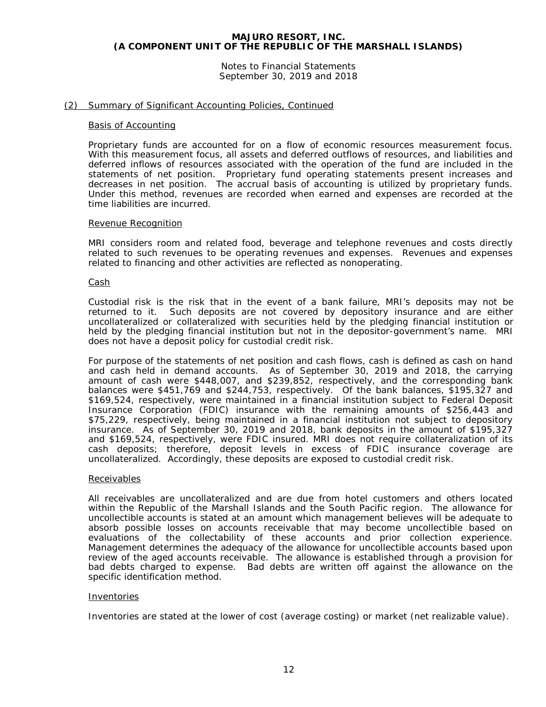Notes to Financial Statements September 30, 2019 and 2018

#### (2) Summary of Significant Accounting Policies, Continued

#### Basis of Accounting

Proprietary funds are accounted for on a flow of economic resources measurement focus. With this measurement focus, all assets and deferred outflows of resources, and liabilities and deferred inflows of resources associated with the operation of the fund are included in the statements of net position. Proprietary fund operating statements present increases and decreases in net position. The accrual basis of accounting is utilized by proprietary funds. Under this method, revenues are recorded when earned and expenses are recorded at the time liabilities are incurred.

#### Revenue Recognition

MRI considers room and related food, beverage and telephone revenues and costs directly related to such revenues to be operating revenues and expenses. Revenues and expenses related to financing and other activities are reflected as nonoperating.

#### Cash

Custodial risk is the risk that in the event of a bank failure, MRI's deposits may not be returned to it. Such deposits are not covered by depository insurance and are either uncollateralized or collateralized with securities held by the pledging financial institution or held by the pledging financial institution but not in the depositor-government's name. MRI does not have a deposit policy for custodial credit risk.

For purpose of the statements of net position and cash flows, cash is defined as cash on hand and cash held in demand accounts. As of September 30, 2019 and 2018, the carrying amount of cash were \$448,007, and \$239,852, respectively, and the corresponding bank balances were \$451,769 and \$244,753, respectively. Of the bank balances, \$195,327 and \$169,524, respectively, were maintained in a financial institution subject to Federal Deposit Insurance Corporation (FDIC) insurance with the remaining amounts of \$256,443 and \$75,229, respectively, being maintained in a financial institution not subject to depository insurance. As of September 30, 2019 and 2018, bank deposits in the amount of \$195,327 and \$169,524, respectively, were FDIC insured. MRI does not require collateralization of its cash deposits; therefore, deposit levels in excess of FDIC insurance coverage are uncollateralized. Accordingly, these deposits are exposed to custodial credit risk.

#### Receivables

All receivables are uncollateralized and are due from hotel customers and others located within the Republic of the Marshall Islands and the South Pacific region. The allowance for uncollectible accounts is stated at an amount which management believes will be adequate to absorb possible losses on accounts receivable that may become uncollectible based on evaluations of the collectability of these accounts and prior collection experience. Management determines the adequacy of the allowance for uncollectible accounts based upon review of the aged accounts receivable. The allowance is established through a provision for bad debts charged to expense. Bad debts are written off against the allowance on the specific identification method.

#### Inventories

Inventories are stated at the lower of cost (average costing) or market (net realizable value).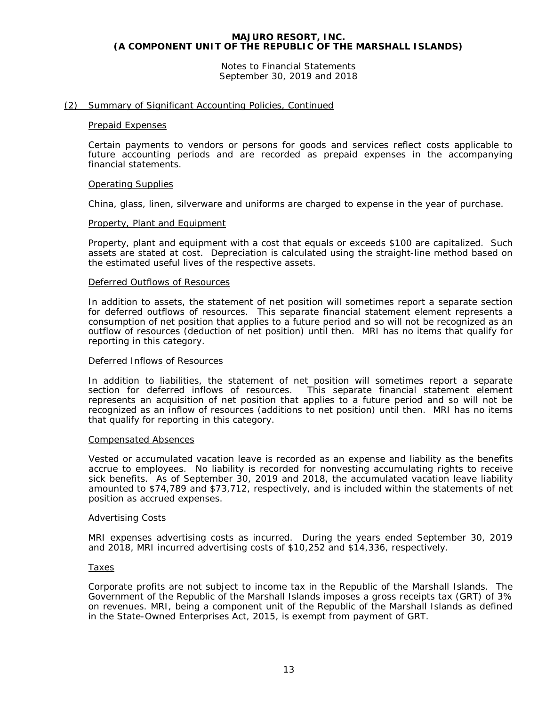Notes to Financial Statements September 30, 2019 and 2018

#### (2) Summary of Significant Accounting Policies, Continued

#### Prepaid Expenses

Certain payments to vendors or persons for goods and services reflect costs applicable to future accounting periods and are recorded as prepaid expenses in the accompanying financial statements.

#### Operating Supplies

China, glass, linen, silverware and uniforms are charged to expense in the year of purchase.

#### Property, Plant and Equipment

Property, plant and equipment with a cost that equals or exceeds \$100 are capitalized. Such assets are stated at cost. Depreciation is calculated using the straight-line method based on the estimated useful lives of the respective assets.

#### Deferred Outflows of Resources

In addition to assets, the statement of net position will sometimes report a separate section for deferred outflows of resources. This separate financial statement element represents a consumption of net position that applies to a future period and so will not be recognized as an outflow of resources (deduction of net position) until then. MRI has no items that qualify for reporting in this category.

#### Deferred Inflows of Resources

In addition to liabilities, the statement of net position will sometimes report a separate section for deferred inflows of resources. This separate financial statement element represents an acquisition of net position that applies to a future period and so will not be recognized as an inflow of resources (additions to net position) until then. MRI has no items that qualify for reporting in this category.

#### Compensated Absences

Vested or accumulated vacation leave is recorded as an expense and liability as the benefits accrue to employees. No liability is recorded for nonvesting accumulating rights to receive sick benefits. As of September 30, 2019 and 2018, the accumulated vacation leave liability amounted to \$74,789 and \$73,712, respectively, and is included within the statements of net position as accrued expenses.

#### Advertising Costs

MRI expenses advertising costs as incurred. During the years ended September 30, 2019 and 2018, MRI incurred advertising costs of \$10,252 and \$14,336, respectively.

#### Taxes

Corporate profits are not subject to income tax in the Republic of the Marshall Islands. The Government of the Republic of the Marshall Islands imposes a gross receipts tax (GRT) of 3% on revenues. MRI, being a component unit of the Republic of the Marshall Islands as defined in the State-Owned Enterprises Act, 2015, is exempt from payment of GRT.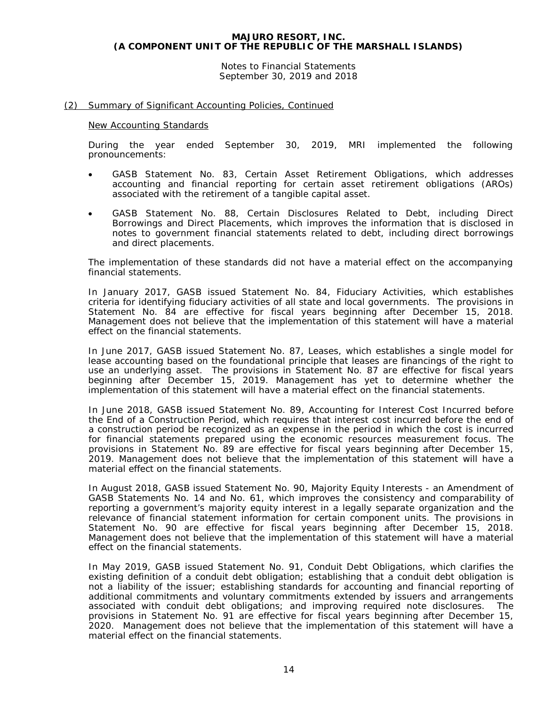Notes to Financial Statements September 30, 2019 and 2018

# (2) Summary of Significant Accounting Policies, Continued

#### New Accounting Standards

During the year ended September 30, 2019, MRI implemented the following pronouncements:

- GASB Statement No. 83, *Certain Asset Retirement Obligations*, which addresses accounting and financial reporting for certain asset retirement obligations (AROs) associated with the retirement of a tangible capital asset.
- GASB Statement No. 88, *Certain Disclosures Related to Debt, including Direct Borrowings and Direct Placements*, which improves the information that is disclosed in notes to government financial statements related to debt, including direct borrowings and direct placements.

The implementation of these standards did not have a material effect on the accompanying financial statements.

In January 2017, GASB issued Statement No. 84, *Fiduciary Activities*, which establishes criteria for identifying fiduciary activities of all state and local governments. The provisions in Statement No. 84 are effective for fiscal years beginning after December 15, 2018. Management does not believe that the implementation of this statement will have a material effect on the financial statements.

In June 2017, GASB issued Statement No. 87, *Leases*, which establishes a single model for lease accounting based on the foundational principle that leases are financings of the right to use an underlying asset. The provisions in Statement No. 87 are effective for fiscal years beginning after December 15, 2019. Management has yet to determine whether the implementation of this statement will have a material effect on the financial statements.

In June 2018, GASB issued Statement No. 89, *Accounting for Interest Cost Incurred before the End of a Construction Period*, which requires that interest cost incurred before the end of a construction period be recognized as an expense in the period in which the cost is incurred for financial statements prepared using the economic resources measurement focus. The provisions in Statement No. 89 are effective for fiscal years beginning after December 15, 2019. Management does not believe that the implementation of this statement will have a material effect on the financial statements.

In August 2018, GASB issued Statement No. 90, *Majority Equity Interests - an Amendment of GASB Statements No. 14 and No. 61,* which improves the consistency and comparability of reporting a government's majority equity interest in a legally separate organization and the relevance of financial statement information for certain component units. The provisions in Statement No. 90 are effective for fiscal years beginning after December 15, 2018. Management does not believe that the implementation of this statement will have a material effect on the financial statements.

In May 2019, GASB issued Statement No. 91, *Conduit Debt Obligations*, which clarifies the existing definition of a conduit debt obligation; establishing that a conduit debt obligation is not a liability of the issuer; establishing standards for accounting and financial reporting of additional commitments and voluntary commitments extended by issuers and arrangements associated with conduit debt obligations; and improving required note disclosures. The provisions in Statement No. 91 are effective for fiscal years beginning after December 15, 2020. Management does not believe that the implementation of this statement will have a material effect on the financial statements.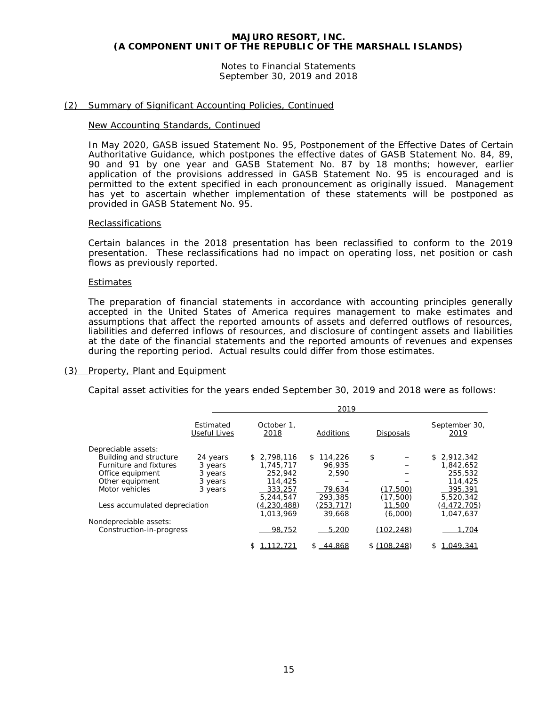Notes to Financial Statements September 30, 2019 and 2018

#### (2) Summary of Significant Accounting Policies, Continued

#### New Accounting Standards, Continued

In May 2020, GASB issued Statement No. 95, *Postponement of the Effective Dates of Certain Authoritative Guidance*, which postpones the effective dates of GASB Statement No. 84, 89, 90 and 91 by one year and GASB Statement No. 87 by 18 months; however, earlier application of the provisions addressed in GASB Statement No. 95 is encouraged and is permitted to the extent specified in each pronouncement as originally issued. Management has yet to ascertain whether implementation of these statements will be postponed as provided in GASB Statement No. 95.

#### Reclassifications

Certain balances in the 2018 presentation has been reclassified to conform to the 2019 presentation. These reclassifications had no impact on operating loss, net position or cash flows as previously reported.

#### Estimates

The preparation of financial statements in accordance with accounting principles generally accepted in the United States of America requires management to make estimates and assumptions that affect the reported amounts of assets and deferred outflows of resources, liabilities and deferred inflows of resources, and disclosure of contingent assets and liabilities at the date of the financial statements and the reported amounts of revenues and expenses during the reporting period. Actual results could differ from those estimates.

#### (3) Property, Plant and Equipment

Capital asset activities for the years ended September 30, 2019 and 2018 were as follows:

|                               |                           |                    | 2019          |                  |                       |
|-------------------------------|---------------------------|--------------------|---------------|------------------|-----------------------|
|                               | Estimated<br>Useful Lives | October 1.<br>2018 | Additions     | <b>Disposals</b> | September 30,<br>2019 |
| Depreciable assets:           |                           |                    |               |                  |                       |
| Building and structure        | 24 years                  | 2.798.116<br>\$    | 114,226<br>S. | \$               | 2.912.342<br>\$       |
| Furniture and fixtures        | 3 years                   | 1.745.717          | 96.935        |                  | 1.842.652             |
| Office equipment              | 3 years                   | 252,942            | 2.590         |                  | 255,532               |
| Other equipment               | 3 years                   | 114,425            |               |                  | 114,425               |
| Motor vehicles                | 3 years                   | 333,257            | 79,634        | (17,500)         | 395,391               |
|                               |                           | 5.244.547          | 293,385       | (17, 500)        | 5,520,342             |
| Less accumulated depreciation |                           | (4,230,488)        | (253, 717)    | 11,500           | (4,472,705)           |
|                               |                           | 1.013.969          | 39,668        | (6,000)          | 1,047,637             |
| Nondepreciable assets:        |                           |                    |               |                  |                       |
| Construction-in-progress      |                           | 98,752             | 5,200         | (102, 248)       | 1.704                 |
|                               |                           | 12.721             | \$44.868      | \$(108.248)      | 1.049.341             |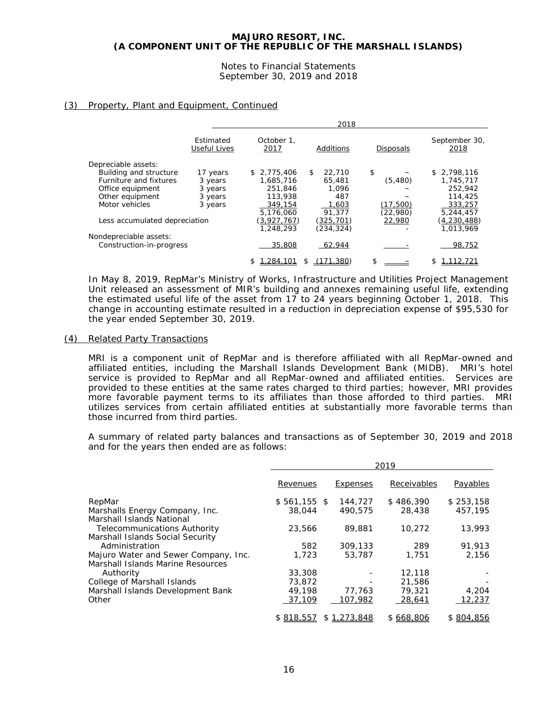Notes to Financial Statements September 30, 2019 and 2018

# (3) Property, Plant and Equipment, Continued

|                               |                           |                    | 2018         |                  |                       |
|-------------------------------|---------------------------|--------------------|--------------|------------------|-----------------------|
|                               | Estimated<br>Useful Lives | October 1.<br>2017 | Additions    | <b>Disposals</b> | September 30,<br>2018 |
| Depreciable assets:           |                           |                    |              |                  |                       |
| Building and structure        | 17 years                  | \$2,775,406        | \$<br>22,710 | \$               | \$2,798,116           |
| Furniture and fixtures        | 3 years                   | 1.685.716          | 65,481       | (5,480)          | 1,745,717             |
| Office equipment              | 3 years                   | 251,846            | 1.096        |                  | 252,942               |
| Other equipment               | 3 years                   | 113,938            | 487          |                  | 114,425               |
| Motor vehicles                | 3 years                   | 349,154            | 1,603        | (17,500)         | 333,257               |
|                               |                           | 5.176.060          | 91.377       | (22,980)         | 5,244,457             |
| Less accumulated depreciation |                           | (3,927,767)        | (325,701)    | 22,980           | (4,230,488)           |
|                               |                           | 1,248,293          | (234.324)    |                  | 1.013.969             |
| Nondepreciable assets:        |                           |                    |              |                  |                       |
| Construction-in-progress      |                           | 35,808             | 62,944       |                  | 98,752                |
|                               |                           | .284.1             | 71,380)      | \$               |                       |
|                               |                           |                    |              |                  |                       |

In May 8, 2019, RepMar's Ministry of Works, Infrastructure and Utilities Project Management Unit released an assessment of MIR's building and annexes remaining useful life, extending the estimated useful life of the asset from 17 to 24 years beginning October 1, 2018. This change in accounting estimate resulted in a reduction in depreciation expense of \$95,530 for the year ended September 30, 2019.

## (4) Related Party Transactions

MRI is a component unit of RepMar and is therefore affiliated with all RepMar-owned and affiliated entities, including the Marshall Islands Development Bank (MIDB). MRI's hotel service is provided to RepMar and all RepMar-owned and affiliated entities. Services are provided to these entities at the same rates charged to third parties; however, MRI provides more favorable payment terms to its affiliates than those afforded to third parties. MRI utilizes services from certain affiliated entities at substantially more favorable terms than those incurred from third parties.

A summary of related party balances and transactions as of September 30, 2019 and 2018 and for the years then ended are as follows:

|                                      |               |             | 2019        |               |
|--------------------------------------|---------------|-------------|-------------|---------------|
|                                      | Revenues      | Expenses    | Receivables | Payables      |
| RepMar                               | $$561,155$ \$ | 144,727     | \$486,390   | \$253,158     |
| Marshalls Energy Company, Inc.       | 38,044        | 490.575     | 28,438      | 457.195       |
| Marshall Islands National            |               |             |             |               |
| <b>Telecommunications Authority</b>  | 23,566        | 89,881      | 10.272      | 13,993        |
| Marshall Islands Social Security     |               |             |             |               |
| Administration                       | 582           | 309,133     | 289         | 91.913        |
| Majuro Water and Sewer Company, Inc. | 1,723         | 53,787      | 1,751       | 2,156         |
| Marshall Islands Marine Resources    |               |             |             |               |
| Authority                            | 33,308        |             | 12,118      |               |
| College of Marshall Islands          | 73,872        |             | 21,586      |               |
| Marshall Islands Development Bank    | 49,198        | 77,763      | 79,321      | 4,204         |
| Other                                | 37,109        | 107,982     | 28,641      | <u>12,237</u> |
|                                      | \$818,557     | \$1,273,848 | \$668,806   | \$804,856     |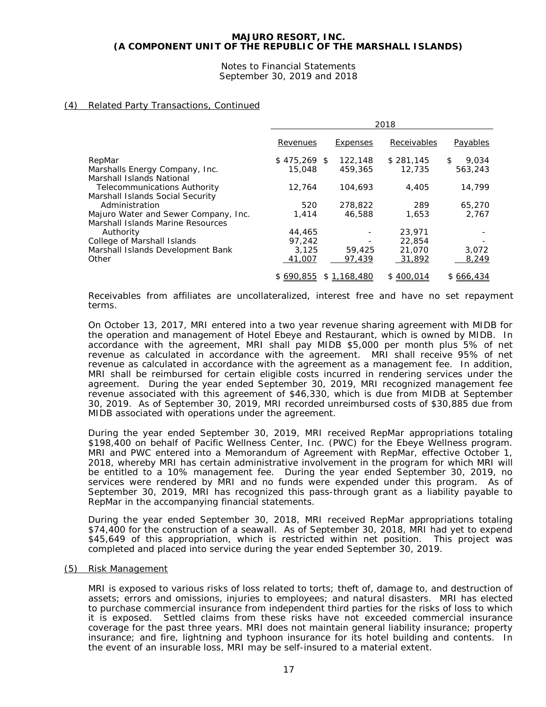Notes to Financial Statements September 30, 2019 and 2018

# (4) Related Party Transactions, Continued

|                                                                           | 2018          |             |             |              |
|---------------------------------------------------------------------------|---------------|-------------|-------------|--------------|
|                                                                           | Revenues      | Expenses    | Receivables | Payables     |
| RepMar                                                                    | $$475.269$ \$ | 122,148     | \$281.145   | 9,034<br>\$. |
| Marshalls Energy Company, Inc.<br>Marshall Islands National               | 15,048        | 459,365     | 12,735      | 563,243      |
| Telecommunications Authority<br>Marshall Islands Social Security          | 12.764        | 104,693     | 4,405       | 14,799       |
| Administration                                                            | 520           | 278.822     | 289         | 65,270       |
| Majuro Water and Sewer Company, Inc.<br>Marshall Islands Marine Resources | 1.414         | 46,588      | 1,653       | 2.767        |
| Authority                                                                 | 44,465        |             | 23,971      |              |
| College of Marshall Islands                                               | 97,242        |             | 22,854      |              |
| Marshall Islands Development Bank                                         | 3.125         | 59,425      | 21,070      | 3,072        |
| Other                                                                     | 41,007        | 97.439      | 31,892      | 8,249        |
|                                                                           | \$690,855     | \$1,168,480 | \$400,014   | \$666,434    |

Receivables from affiliates are uncollateralized, interest free and have no set repayment terms.

On October 13, 2017, MRI entered into a two year revenue sharing agreement with MIDB for the operation and management of Hotel Ebeye and Restaurant, which is owned by MIDB. In accordance with the agreement, MRI shall pay MIDB \$5,000 per month plus 5% of net revenue as calculated in accordance with the agreement. MRI shall receive 95% of net revenue as calculated in accordance with the agreement as a management fee. In addition, MRI shall be reimbursed for certain eligible costs incurred in rendering services under the agreement. During the year ended September 30, 2019, MRI recognized management fee revenue associated with this agreement of \$46,330, which is due from MIDB at September 30, 2019. As of September 30, 2019, MRI recorded unreimbursed costs of \$30,885 due from MIDB associated with operations under the agreement.

During the year ended September 30, 2019, MRI received RepMar appropriations totaling \$198,400 on behalf of Pacific Wellness Center, Inc. (PWC) for the Ebeye Wellness program. MRI and PWC entered into a Memorandum of Agreement with RepMar, effective October 1, 2018, whereby MRI has certain administrative involvement in the program for which MRI will be entitled to a 10% management fee. During the year ended September 30, 2019, no services were rendered by MRI and no funds were expended under this program. As of September 30, 2019, MRI has recognized this pass-through grant as a liability payable to RepMar in the accompanying financial statements.

During the year ended September 30, 2018, MRI received RepMar appropriations totaling \$74,400 for the construction of a seawall. As of September 30, 2018, MRI had yet to expend \$45,649 of this appropriation, which is restricted within net position. This project was completed and placed into service during the year ended September 30, 2019.

#### (5) Risk Management

MRI is exposed to various risks of loss related to torts; theft of, damage to, and destruction of assets; errors and omissions, injuries to employees; and natural disasters. MRI has elected to purchase commercial insurance from independent third parties for the risks of loss to which it is exposed. Settled claims from these risks have not exceeded commercial insurance coverage for the past three years. MRI does not maintain general liability insurance; property insurance; and fire, lightning and typhoon insurance for its hotel building and contents. In the event of an insurable loss, MRI may be self-insured to a material extent.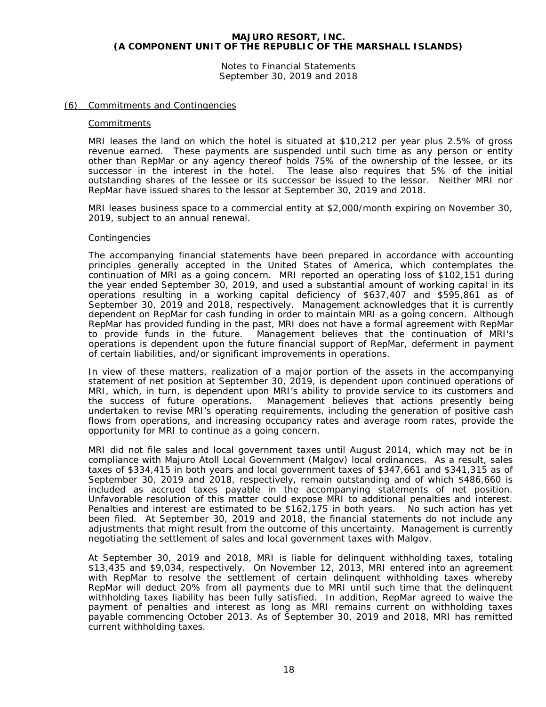Notes to Financial Statements September 30, 2019 and 2018

#### (6) Commitments and Contingencies

#### **Commitments**

MRI leases the land on which the hotel is situated at \$10,212 per year plus 2.5% of gross revenue earned. These payments are suspended until such time as any person or entity other than RepMar or any agency thereof holds 75% of the ownership of the lessee, or its successor in the interest in the hotel. The lease also requires that 5% of the initial outstanding shares of the lessee or its successor be issued to the lessor. Neither MRI nor RepMar have issued shares to the lessor at September 30, 2019 and 2018.

MRI leases business space to a commercial entity at \$2,000/month expiring on November 30, 2019, subject to an annual renewal.

#### **Contingencies**

The accompanying financial statements have been prepared in accordance with accounting principles generally accepted in the United States of America, which contemplates the continuation of MRI as a going concern. MRI reported an operating loss of \$102,151 during the year ended September 30, 2019, and used a substantial amount of working capital in its operations resulting in a working capital deficiency of \$637,407 and \$595,861 as of September 30, 2019 and 2018, respectively. Management acknowledges that it is currently dependent on RepMar for cash funding in order to maintain MRI as a going concern. Although RepMar has provided funding in the past, MRI does not have a formal agreement with RepMar<br>to provide funds in the future. Management believes that the continuation of MRI's Management believes that the continuation of MRI's operations is dependent upon the future financial support of RepMar, deferment in payment of certain liabilities, and/or significant improvements in operations.

In view of these matters, realization of a major portion of the assets in the accompanying statement of net position at September 30, 2019, is dependent upon continued operations of MRI, which, in turn, is dependent upon MRI's ability to provide service to its customers and the success of future operations. Management believes that actions presently being Management believes that actions presently being undertaken to revise MRI's operating requirements, including the generation of positive cash flows from operations, and increasing occupancy rates and average room rates, provide the opportunity for MRI to continue as a going concern.

MRI did not file sales and local government taxes until August 2014, which may not be in compliance with Majuro Atoll Local Government (Malgov) local ordinances. As a result, sales taxes of \$334,415 in both years and local government taxes of \$347,661 and \$341,315 as of September 30, 2019 and 2018, respectively, remain outstanding and of which \$486,660 is included as accrued taxes payable in the accompanying statements of net position. Unfavorable resolution of this matter could expose MRI to additional penalties and interest. Penalties and interest are estimated to be \$162,175 in both years. No such action has yet been filed. At September 30, 2019 and 2018, the financial statements do not include any adjustments that might result from the outcome of this uncertainty. Management is currently negotiating the settlement of sales and local government taxes with Malgov.

At September 30, 2019 and 2018, MRI is liable for delinquent withholding taxes, totaling \$13,435 and \$9,034, respectively. On November 12, 2013, MRI entered into an agreement with RepMar to resolve the settlement of certain delinquent withholding taxes whereby RepMar will deduct 20% from all payments due to MRI until such time that the delinquent withholding taxes liability has been fully satisfied. In addition, RepMar agreed to waive the payment of penalties and interest as long as MRI remains current on withholding taxes payable commencing October 2013. As of September 30, 2019 and 2018, MRI has remitted current withholding taxes.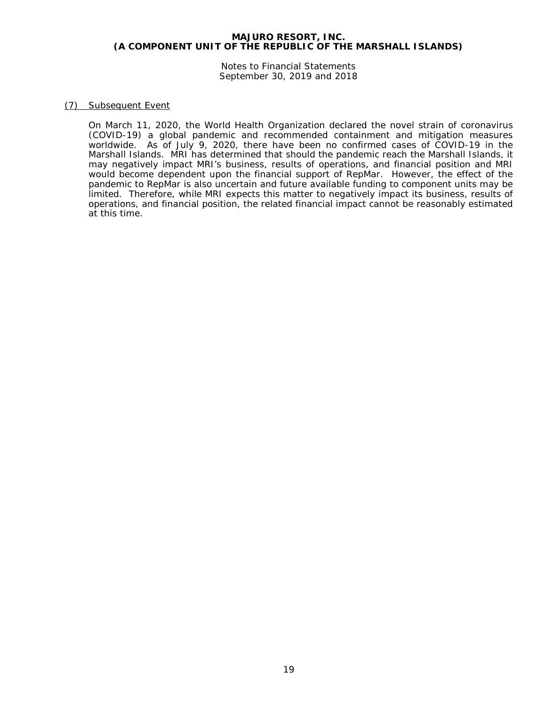Notes to Financial Statements September 30, 2019 and 2018

# (7) Subsequent Event

On March 11, 2020, the World Health Organization declared the novel strain of coronavirus (COVID-19) a global pandemic and recommended containment and mitigation measures worldwide. As of July 9, 2020, there have been no confirmed cases of COVID-19 in the Marshall Islands. MRI has determined that should the pandemic reach the Marshall Islands, it may negatively impact MRI's business, results of operations, and financial position and MRI would become dependent upon the financial support of RepMar. However, the effect of the pandemic to RepMar is also uncertain and future available funding to component units may be limited. Therefore, while MRI expects this matter to negatively impact its business, results of operations, and financial position, the related financial impact cannot be reasonably estimated at this time.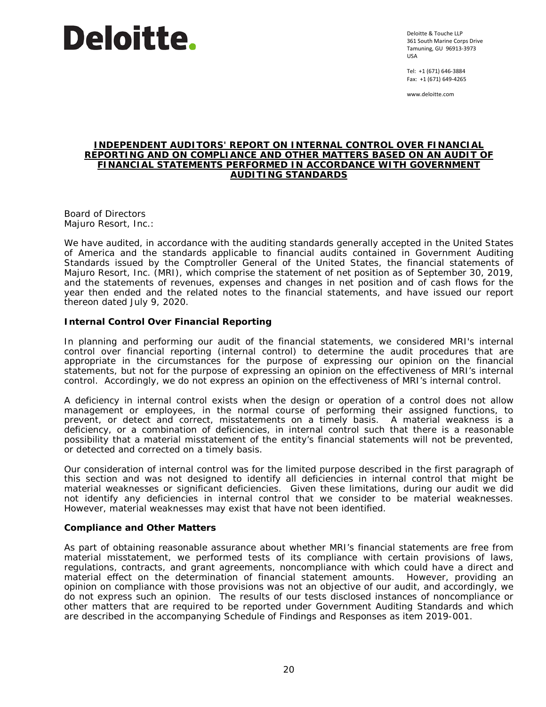# Deloitte.

Deloitte & Touche LLP 361 South Marine Corps Drive Tamuning, GU 96913-3973 USA

Tel: +1 (671) 646-3884 Fax: +1 (671) 649-4265

www.deloitte.com

#### **INDEPENDENT AUDITORS' REPORT ON INTERNAL CONTROL OVER FINANCIAL REPORTING AND ON COMPLIANCE AND OTHER MATTERS BASED ON AN AUDIT OF FINANCIAL STATEMENTS PERFORMED IN ACCORDANCE WITH** *GOVERNMENT AUDITING STANDARDS*

Board of Directors Majuro Resort, Inc.:

We have audited, in accordance with the auditing standards generally accepted in the United States of America and the standards applicable to financial audits contained in *Government Auditing Standards* issued by the Comptroller General of the United States, the financial statements of Majuro Resort, Inc. (MRI), which comprise the statement of net position as of September 30, 2019, and the statements of revenues, expenses and changes in net position and of cash flows for the year then ended and the related notes to the financial statements, and have issued our report thereon dated July 9, 2020.

# **Internal Control Over Financial Reporting**

In planning and performing our audit of the financial statements, we considered MRI's internal control over financial reporting (internal control) to determine the audit procedures that are appropriate in the circumstances for the purpose of expressing our opinion on the financial statements, but not for the purpose of expressing an opinion on the effectiveness of MRI's internal control. Accordingly, we do not express an opinion on the effectiveness of MRI's internal control.

A *deficiency in internal control* exists when the design or operation of a control does not allow management or employees, in the normal course of performing their assigned functions, to prevent, or detect and correct, misstatements on a timely basis. A *material weakness* is a deficiency, or a combination of deficiencies, in internal control such that there is a reasonable possibility that a material misstatement of the entity's financial statements will not be prevented, or detected and corrected on a timely basis.

Our consideration of internal control was for the limited purpose described in the first paragraph of this section and was not designed to identify all deficiencies in internal control that might be material weaknesses or significant deficiencies. Given these limitations, during our audit we did not identify any deficiencies in internal control that we consider to be material weaknesses. However, material weaknesses may exist that have not been identified.

# **Compliance and Other Matters**

As part of obtaining reasonable assurance about whether MRI's financial statements are free from material misstatement, we performed tests of its compliance with certain provisions of laws, regulations, contracts, and grant agreements, noncompliance with which could have a direct and material effect on the determination of financial statement amounts. However, providing an opinion on compliance with those provisions was not an objective of our audit, and accordingly, we do not express such an opinion. The results of our tests disclosed instances of noncompliance or other matters that are required to be reported under *Government Auditing Standards* and which are described in the accompanying Schedule of Findings and Responses as item 2019-001.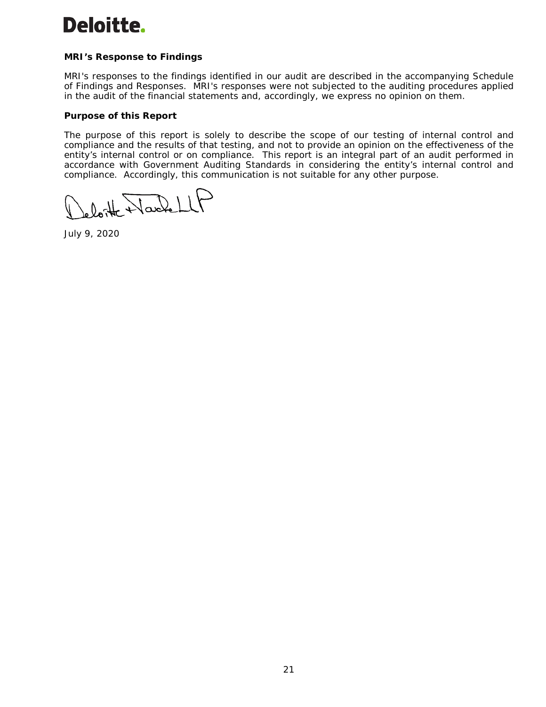# Deloitte.

# **MRI's Response to Findings**

MRI's responses to the findings identified in our audit are described in the accompanying Schedule of Findings and Responses. MRI's responses were not subjected to the auditing procedures applied in the audit of the financial statements and, accordingly, we express no opinion on them.

# **Purpose of this Report**

The purpose of this report is solely to describe the scope of our testing of internal control and compliance and the results of that testing, and not to provide an opinion on the effectiveness of the entity's internal control or on compliance. This report is an integral part of an audit performed in accordance with *Government Auditing Standards* in considering the entity's internal control and compliance. Accordingly, this communication is not suitable for any other purpose.

loite Harlett

July 9, 2020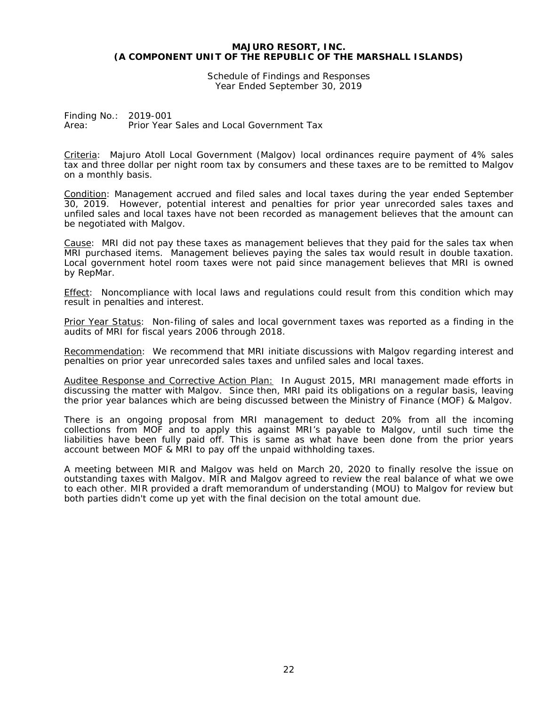Schedule of Findings and Responses Year Ended September 30, 2019

Finding No.: 2019-001 Area: Prior Year Sales and Local Government Tax

Criteria: Majuro Atoll Local Government (Malgov) local ordinances require payment of 4% sales tax and three dollar per night room tax by consumers and these taxes are to be remitted to Malgov on a monthly basis.

Condition: Management accrued and filed sales and local taxes during the year ended September 30, 2019. However, potential interest and penalties for prior year unrecorded sales taxes and unfiled sales and local taxes have not been recorded as management believes that the amount can be negotiated with Malgov.

Cause: MRI did not pay these taxes as management believes that they paid for the sales tax when MRI purchased items. Management believes paying the sales tax would result in double taxation. Local government hotel room taxes were not paid since management believes that MRI is owned by RepMar.

Effect: Noncompliance with local laws and regulations could result from this condition which may result in penalties and interest.

Prior Year Status: Non-filing of sales and local government taxes was reported as a finding in the audits of MRI for fiscal years 2006 through 2018.

Recommendation: We recommend that MRI initiate discussions with Malgov regarding interest and penalties on prior year unrecorded sales taxes and unfiled sales and local taxes.

Auditee Response and Corrective Action Plan: In August 2015, MRI management made efforts in discussing the matter with Malgov. Since then, MRI paid its obligations on a regular basis, leaving the prior year balances which are being discussed between the Ministry of Finance (MOF) & Malgov.

There is an ongoing proposal from MRI management to deduct 20% from all the incoming collections from MOF and to apply this against MRI's payable to Malgov, until such time the liabilities have been fully paid off. This is same as what have been done from the prior years account between MOF & MRI to pay off the unpaid withholding taxes.

A meeting between MIR and Malgov was held on March 20, 2020 to finally resolve the issue on outstanding taxes with Malgov. MIR and Malgov agreed to review the real balance of what we owe to each other. MIR provided a draft memorandum of understanding (MOU) to Malgov for review but both parties didn't come up yet with the final decision on the total amount due.